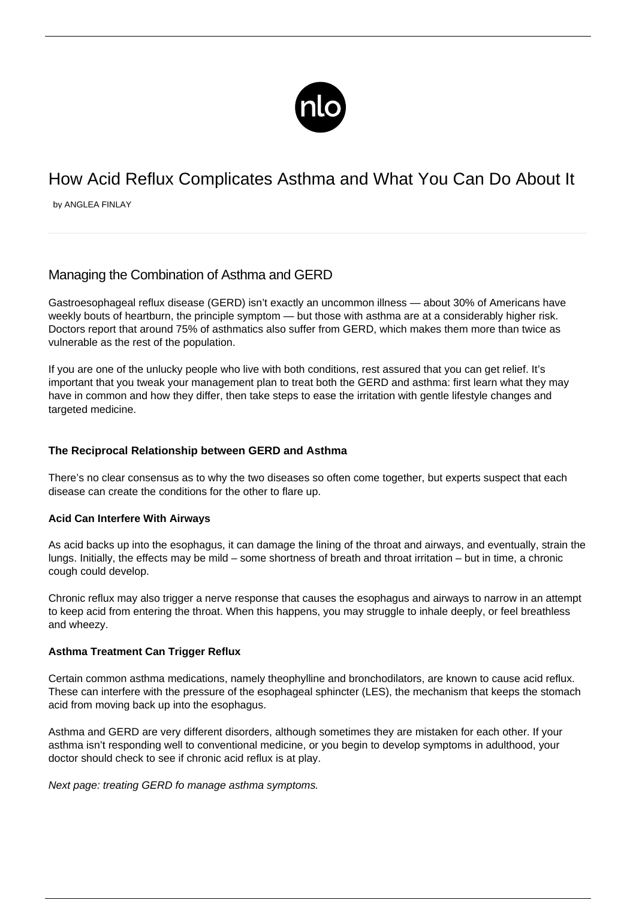

# How Acid Reflux Complicates Asthma and What You Can Do About It

by ANGLEA FINLAY

# Managing the Combination of Asthma and GERD

Gastroesophageal reflux disease (GERD) isn't exactly an uncommon illness — about 30% of Americans have weekly bouts of heartburn, the principle symptom — but those with asthma are at a considerably higher risk. Doctors report that around 75% of asthmatics also suffer from GERD, which makes them more than twice as vulnerable as the rest of the population.

If you are one of the unlucky people who live with both conditions, rest assured that you can get relief. It's important that you tweak your management plan to treat both the GERD and asthma: first learn what they may have in common and how they differ, then take steps to ease the irritation with gentle lifestyle changes and targeted medicine.

## **The Reciprocal Relationship between GERD and Asthma**

There's no clear consensus as to why the two diseases so often come together, but experts suspect that each disease can create the conditions for the other to flare up.

#### **Acid Can Interfere With Airways**

As acid backs up into the esophagus, it can damage the lining of the throat and airways, and eventually, strain the lungs. Initially, the effects may be mild – some shortness of breath and throat irritation – but in time, a [chronic](/coughing-asthma/) [cough](/coughing-asthma/) could develop.

Chronic reflux may also trigger a nerve response that causes the esophagus and airways to narrow in an attempt to keep acid from entering the throat. When this happens, you may struggle to inhale deeply, or feel breathless and wheezy.

#### **Asthma Treatment Can Trigger Reflux**

Certain common asthma medications, namely theophylline and bronchodilators, are known to cause acid reflux. These can interfere with the pressure of the esophageal sphincter (LES), the mechanism that keeps the stomach acid from moving back up into the esophagus.

Asthma and GERD are very different disorders, although sometimes they are mistaken for each other. If your asthma isn't responding well to conventional medicine, or you begin to develop symptoms in adulthood, your doctor should check to see if chronic acid reflux is at play.

Next page: treating GERD fo manage asthma symptoms.